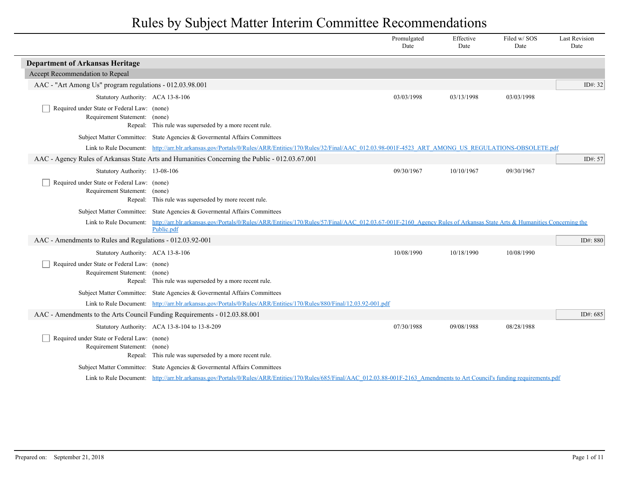|                                                                              |                                                                                                                                                                                   | Promulgated<br>Date | Effective<br>Date | Filed w/SOS<br>Date | <b>Last Revision</b><br>Date |
|------------------------------------------------------------------------------|-----------------------------------------------------------------------------------------------------------------------------------------------------------------------------------|---------------------|-------------------|---------------------|------------------------------|
| <b>Department of Arkansas Heritage</b>                                       |                                                                                                                                                                                   |                     |                   |                     |                              |
| Accept Recommendation to Repeal                                              |                                                                                                                                                                                   |                     |                   |                     |                              |
| AAC - "Art Among Us" program regulations - 012.03.98.001                     |                                                                                                                                                                                   |                     |                   |                     | ID#: 32                      |
| Statutory Authority: ACA 13-8-106                                            |                                                                                                                                                                                   | 03/03/1998          | 03/13/1998        | 03/03/1998          |                              |
| Required under State or Federal Law: (none)<br>Requirement Statement: (none) | Repeal: This rule was superseded by a more recent rule.                                                                                                                           |                     |                   |                     |                              |
|                                                                              | Subject Matter Committee: State Agencies & Governental Affairs Committees                                                                                                         |                     |                   |                     |                              |
|                                                                              | Link to Rule Document: http://arr.blr.arkansas.gov/Portals/0/Rules/ARR/Entities/170/Rules/32/Final/AAC 012.03.98-001F-4523 ART AMONG US REGULATIONS-OBSOLETE.pdf                  |                     |                   |                     |                              |
|                                                                              | AAC - Agency Rules of Arkansas State Arts and Humanities Concerning the Public - 012.03.67.001                                                                                    |                     |                   |                     | ID#: 57                      |
| Statutory Authority: 13-08-106                                               |                                                                                                                                                                                   | 09/30/1967          | 10/10/1967        | 09/30/1967          |                              |
| Required under State or Federal Law: (none)<br>Requirement Statement: (none) | Repeal: This rule was superseded by more recent rule.                                                                                                                             |                     |                   |                     |                              |
|                                                                              | Subject Matter Committee: State Agencies & Governental Affairs Committees                                                                                                         |                     |                   |                     |                              |
| Link to Rule Document:                                                       | http://arr.blr.arkansas.gov/Portals/0/Rules/ARR/Entities/170/Rules/57/Final/AAC 012.03.67-001F-2160 Agency Rules of Arkansas State Arts & Humanities Concerning the<br>Public.pdf |                     |                   |                     |                              |
| AAC - Amendments to Rules and Regulations - 012.03.92-001                    |                                                                                                                                                                                   |                     |                   |                     | ID#: 880                     |
| Statutory Authority: ACA 13-8-106                                            |                                                                                                                                                                                   | 10/08/1990          | 10/18/1990        | 10/08/1990          |                              |
| Required under State or Federal Law: (none)<br>Requirement Statement: (none) | Repeal: This rule was superseded by a more recent rule.                                                                                                                           |                     |                   |                     |                              |
|                                                                              | Subject Matter Committee: State Agencies & Governental Affairs Committees                                                                                                         |                     |                   |                     |                              |
|                                                                              | Link to Rule Document: http://arr.blr.arkansas.gov/Portals/0/Rules/ARR/Entities/170/Rules/880/Final/12.03.92-001.pdf                                                              |                     |                   |                     |                              |
| AAC - Amendments to the Arts Council Funding Requirements - 012.03.88.001    |                                                                                                                                                                                   |                     |                   |                     | ID#: $685$                   |
|                                                                              | Statutory Authority: ACA 13-8-104 to 13-8-209                                                                                                                                     | 07/30/1988          | 09/08/1988        | 08/28/1988          |                              |
| Required under State or Federal Law: (none)<br>Requirement Statement: (none) | Repeal: This rule was superseded by a more recent rule.                                                                                                                           |                     |                   |                     |                              |
|                                                                              | Subject Matter Committee: State Agencies & Governental Affairs Committees                                                                                                         |                     |                   |                     |                              |
|                                                                              | Link to Rule Document: http://arr.blr.arkansas.gov/Portals/0/Rules/ARR/Entities/170/Rules/685/Final/AAC 012.03.88-001F-2163 Amendments to Art Council's funding requirements.pdf  |                     |                   |                     |                              |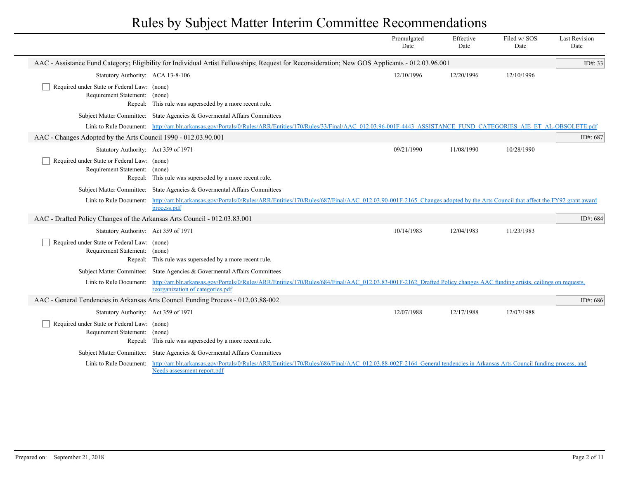|                                                                              |                                                                                                                                                                                                                 | Promulgated<br>Date | Effective<br>Date | Filed w/SOS<br>Date | <b>Last Revision</b><br>Date |
|------------------------------------------------------------------------------|-----------------------------------------------------------------------------------------------------------------------------------------------------------------------------------------------------------------|---------------------|-------------------|---------------------|------------------------------|
|                                                                              | AAC - Assistance Fund Category; Eligibility for Individual Artist Fellowships; Request for Reconsideration; New GOS Applicants - 012.03.96.001                                                                  |                     |                   |                     | ID#: 33                      |
| Statutory Authority: ACA 13-8-106                                            |                                                                                                                                                                                                                 | 12/10/1996          | 12/20/1996        | 12/10/1996          |                              |
| Required under State or Federal Law: (none)<br>Requirement Statement: (none) | Repeal: This rule was superseded by a more recent rule.                                                                                                                                                         |                     |                   |                     |                              |
|                                                                              | Subject Matter Committee: State Agencies & Governental Affairs Committees                                                                                                                                       |                     |                   |                     |                              |
|                                                                              | Link to Rule Document: http://arr.blr.arkansas.gov/Portals/0/Rules/ARR/Entities/170/Rules/33/Final/AAC 012.03.96-001F-4443 ASSISTANCE FUND CATEGORIES AIE ET AL-OBSOLETE.pdf                                    |                     |                   |                     |                              |
| AAC - Changes Adopted by the Arts Council 1990 - 012.03.90.001               |                                                                                                                                                                                                                 |                     |                   |                     | ID#: 687                     |
| Statutory Authority: Act 359 of 1971                                         |                                                                                                                                                                                                                 | 09/21/1990          | 11/08/1990        | 10/28/1990          |                              |
| Required under State or Federal Law: (none)<br>Requirement Statement: (none) | Repeal: This rule was superseded by a more recent rule.                                                                                                                                                         |                     |                   |                     |                              |
|                                                                              | Subject Matter Committee: State Agencies & Governental Affairs Committees                                                                                                                                       |                     |                   |                     |                              |
|                                                                              | Link to Rule Document: http://arr.blr.arkansas.gov/Portals/0/Rules/ARR/Entities/170/Rules/687/Final/AAC 012.03.90-001F-2165 Changes adopted by the Arts Council that affect the FY92 grant award<br>process.pdf |                     |                   |                     |                              |
| AAC - Drafted Policy Changes of the Arkansas Arts Council - 012.03.83.001    |                                                                                                                                                                                                                 |                     |                   |                     | ID#: 684                     |
| Statutory Authority: Act 359 of 1971                                         |                                                                                                                                                                                                                 | 10/14/1983          | 12/04/1983        | 11/23/1983          |                              |
| Required under State or Federal Law: (none)<br>Requirement Statement: (none) | Repeal: This rule was superseded by a more recent rule.                                                                                                                                                         |                     |                   |                     |                              |
|                                                                              | Subject Matter Committee: State Agencies & Governental Affairs Committees                                                                                                                                       |                     |                   |                     |                              |
| Link to Rule Document:                                                       | http://arr.blr.arkansas.gov/Portals/0/Rules/ARR/Entities/170/Rules/684/Final/AAC 012.03.83-001F-2162 Drafted Policy changes AAC funding artists, ceilings on requests,<br>reorganization of categories.pdf      |                     |                   |                     |                              |
|                                                                              | AAC - General Tendencies in Arkansas Arts Council Funding Process - 012.03.88-002                                                                                                                               |                     |                   |                     | ID#: 686                     |
| Statutory Authority: Act 359 of 1971                                         |                                                                                                                                                                                                                 | 12/07/1988          | 12/17/1988        | 12/07/1988          |                              |
| Required under State or Federal Law: (none)<br>Requirement Statement: (none) | Repeal: This rule was superseded by a more recent rule.                                                                                                                                                         |                     |                   |                     |                              |
|                                                                              | Subject Matter Committee: State Agencies & Governmental Affairs Committees                                                                                                                                      |                     |                   |                     |                              |
| Link to Rule Document:                                                       | http://arr.blr.arkansas.gov/Portals/0/Rules/ARR/Entities/170/Rules/686/Final/AAC 012.03.88-002F-2164 General tendencies in Arkansas Arts Council funding process, and<br>Needs assessment report.pdf            |                     |                   |                     |                              |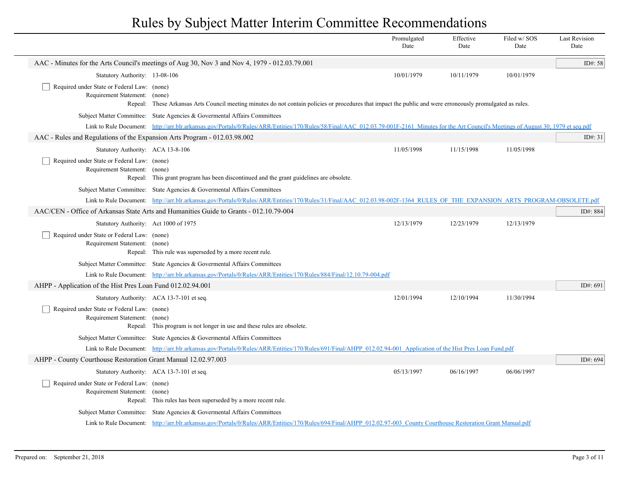|                                                                              |                                                                                                                                                                                                 | Promulgated<br>Date | Effective<br>Date | Filed w/ SOS<br>Date | <b>Last Revision</b><br>Date |
|------------------------------------------------------------------------------|-------------------------------------------------------------------------------------------------------------------------------------------------------------------------------------------------|---------------------|-------------------|----------------------|------------------------------|
|                                                                              | AAC - Minutes for the Arts Council's meetings of Aug 30, Nov 3 and Nov 4, 1979 - 012.03.79.001                                                                                                  |                     |                   |                      | ID#: 58                      |
| Statutory Authority: 13-08-106                                               |                                                                                                                                                                                                 | 10/01/1979          | 10/11/1979        | 10/01/1979           |                              |
| Required under State or Federal Law: (none)<br>Requirement Statement: (none) | Repeal: These Arkansas Arts Council meeting minutes do not contain policies or procedures that impact the public and were erroneously promulgated as rules.                                     |                     |                   |                      |                              |
|                                                                              | Subject Matter Committee: State Agencies & Governental Affairs Committees                                                                                                                       |                     |                   |                      |                              |
|                                                                              | Link to Rule Document: http://arr.blr.arkansas.gov/Portals/0/Rules/ARR/Entities/170/Rules/58/Final/AAC 012.03.79-001F-2161 Minutes for the Art Council's Meetings of August 30, 1979 et seq.pdf |                     |                   |                      |                              |
| AAC - Rules and Regulations of the Expansion Arts Program - 012.03.98.002    |                                                                                                                                                                                                 |                     |                   |                      | ID#: $31$                    |
| Statutory Authority: ACA 13-8-106                                            |                                                                                                                                                                                                 | 11/05/1998          | 11/15/1998        | 11/05/1998           |                              |
| Required under State or Federal Law: (none)<br>Requirement Statement: (none) | Repeal: This grant program has been discontinued and the grant guidelines are obsolete.                                                                                                         |                     |                   |                      |                              |
|                                                                              | Subject Matter Committee: State Agencies & Governental Affairs Committees                                                                                                                       |                     |                   |                      |                              |
|                                                                              | Link to Rule Document: http://arr.blr.arkansas.gov/Portals/0/Rules/ARR/Entities/170/Rules/31/Final/AAC 012.03.98-002F-1364 RULES OF THE EXPANSION ARTS PROGRAM-OBSOLETE.pdf                     |                     |                   |                      |                              |
|                                                                              | AAC/CEN - Office of Arkansas State Arts and Humanities Guide to Grants - 012.10.79-004                                                                                                          |                     |                   |                      | ID#: 884                     |
| Statutory Authority: Act 1000 of 1975                                        |                                                                                                                                                                                                 | 12/13/1979          | 12/23/1979        | 12/13/1979           |                              |
| Required under State or Federal Law: (none)<br>Requirement Statement: (none) | Repeal: This rule was superseded by a more recent rule.                                                                                                                                         |                     |                   |                      |                              |
|                                                                              | Subject Matter Committee: State Agencies & Governental Affairs Committees                                                                                                                       |                     |                   |                      |                              |
|                                                                              | Link to Rule Document: http://arr.blr.arkansas.gov/Portals/0/Rules/ARR/Entities/170/Rules/884/Final/12.10.79-004.pdf                                                                            |                     |                   |                      |                              |
| AHPP - Application of the Hist Pres Loan Fund 012.02.94.001                  |                                                                                                                                                                                                 |                     |                   |                      | ID#: 691                     |
|                                                                              | Statutory Authority: ACA 13-7-101 et seq.                                                                                                                                                       | 12/01/1994          | 12/10/1994        | 11/30/1994           |                              |
| Required under State or Federal Law: (none)<br>Requirement Statement: (none) | Repeal: This program is not longer in use and these rules are obsolete.                                                                                                                         |                     |                   |                      |                              |
|                                                                              | Subject Matter Committee: State Agencies & Governental Affairs Committees                                                                                                                       |                     |                   |                      |                              |
|                                                                              | Link to Rule Document: http://arr.blr.arkansas.gov/Portals/0/Rules/ARR/Entities/170/Rules/691/Final/AHPP 012.02.94-001 Application of the Hist Pres Loan Fund.pdf                               |                     |                   |                      |                              |
| AHPP - County Courthouse Restoration Grant Manual 12.02.97.003               |                                                                                                                                                                                                 |                     |                   |                      | ID#: 694                     |
|                                                                              | Statutory Authority: ACA 13-7-101 et seq.                                                                                                                                                       | 05/13/1997          | 06/16/1997        | 06/06/1997           |                              |
| Required under State or Federal Law: (none)<br>Requirement Statement: (none) | Repeal: This rules has been superseded by a more recent rule.                                                                                                                                   |                     |                   |                      |                              |
|                                                                              | Subject Matter Committee: State Agencies & Governental Affairs Committees                                                                                                                       |                     |                   |                      |                              |
|                                                                              | Link to Rule Document: http://arr.blr.arkansas.gov/Portals/0/Rules/ARR/Entities/170/Rules/694/Final/AHPP 012.02.97-003 County Courthouse Restoration Grant Manual.pdf                           |                     |                   |                      |                              |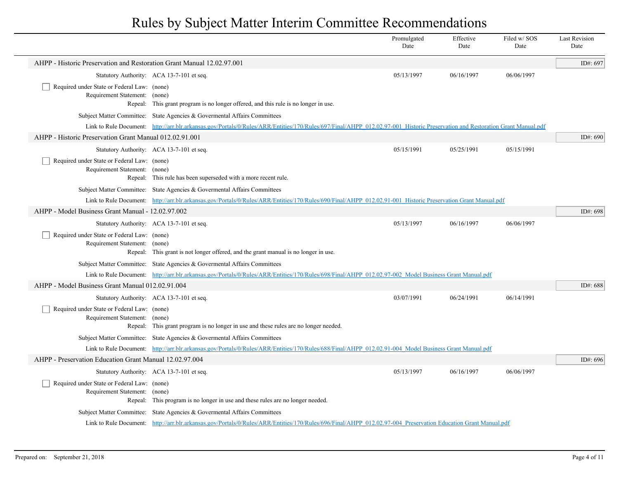|                                                                              |                                                                                                                                                                               | Promulgated<br>Date | Effective<br>Date | Filed w/SOS<br>Date | <b>Last Revision</b><br>Date |
|------------------------------------------------------------------------------|-------------------------------------------------------------------------------------------------------------------------------------------------------------------------------|---------------------|-------------------|---------------------|------------------------------|
| AHPP - Historic Preservation and Restoration Grant Manual 12.02.97.001       |                                                                                                                                                                               |                     |                   |                     | ID#: 697                     |
|                                                                              | Statutory Authority: ACA 13-7-101 et seq.                                                                                                                                     | 05/13/1997          | 06/16/1997        | 06/06/1997          |                              |
| Required under State or Federal Law: (none)<br>Requirement Statement: (none) | Repeal: This grant program is no longer offered, and this rule is no longer in use.                                                                                           |                     |                   |                     |                              |
|                                                                              | Subject Matter Committee: State Agencies & Governental Affairs Committees                                                                                                     |                     |                   |                     |                              |
|                                                                              | Link to Rule Document: http://arr.blr.arkansas.gov/Portals/0/Rules/ARR/Entities/170/Rules/697/Final/AHPP 012.02.97-001 Historic Preservation and Restoration Grant Manual.pdf |                     |                   |                     |                              |
| AHPP - Historic Preservation Grant Manual 012.02.91.001                      |                                                                                                                                                                               |                     |                   |                     | ID#: 690                     |
|                                                                              | Statutory Authority: ACA 13-7-101 et seq.                                                                                                                                     | 05/15/1991          | 05/25/1991        | 05/15/1991          |                              |
| Required under State or Federal Law: (none)<br>Requirement Statement: (none) | Repeal: This rule has been superseded with a more recent rule.                                                                                                                |                     |                   |                     |                              |
|                                                                              | Subject Matter Committee: State Agencies & Governental Affairs Committees                                                                                                     |                     |                   |                     |                              |
|                                                                              | Link to Rule Document: http://arr.blr.arkansas.gov/Portals/0/Rules/ARR/Entities/170/Rules/690/Final/AHPP 012.02.91-001 Historic Preservation Grant Manual.pdf                 |                     |                   |                     |                              |
| AHPP - Model Business Grant Manual - 12.02.97.002                            |                                                                                                                                                                               |                     |                   |                     | ID#: 698                     |
|                                                                              | Statutory Authority: ACA 13-7-101 et seq.                                                                                                                                     | 05/13/1997          | 06/16/1997        | 06/06/1997          |                              |
| Required under State or Federal Law: (none)<br>Requirement Statement: (none) | Repeal: This grant is not longer offered, and the grant manual is no longer in use.                                                                                           |                     |                   |                     |                              |
|                                                                              | Subject Matter Committee: State Agencies & Governental Affairs Committees                                                                                                     |                     |                   |                     |                              |
|                                                                              | Link to Rule Document: http://arr.blr.arkansas.gov/Portals/0/Rules/ARR/Entities/170/Rules/698/Final/AHPP 012.02.97-002 Model Business Grant Manual.pdf                        |                     |                   |                     |                              |
| AHPP - Model Business Grant Manual 012.02.91.004                             |                                                                                                                                                                               |                     |                   |                     | ID#: 688                     |
|                                                                              | Statutory Authority: ACA 13-7-101 et seq.                                                                                                                                     | 03/07/1991          | 06/24/1991        | 06/14/1991          |                              |
| Required under State or Federal Law: (none)<br>Requirement Statement:        | (none)<br>Repeal: This grant program is no longer in use and these rules are no longer needed.                                                                                |                     |                   |                     |                              |
|                                                                              | Subject Matter Committee: State Agencies & Governental Affairs Committees                                                                                                     |                     |                   |                     |                              |
|                                                                              | Link to Rule Document: http://arr.blr.arkansas.gov/Portals/0/Rules/ARR/Entities/170/Rules/688/Final/AHPP 012.02.91-004 Model Business Grant Manual.pdf                        |                     |                   |                     |                              |
| AHPP - Preservation Education Grant Manual 12.02.97.004                      |                                                                                                                                                                               |                     |                   |                     | ID#: 696                     |
|                                                                              | Statutory Authority: ACA 13-7-101 et seq.                                                                                                                                     | 05/13/1997          | 06/16/1997        | 06/06/1997          |                              |
| Required under State or Federal Law: (none)<br>Requirement Statement:        | (none)<br>Repeal: This program is no longer in use and these rules are no longer needed.                                                                                      |                     |                   |                     |                              |
|                                                                              | Subject Matter Committee: State Agencies & Governental Affairs Committees                                                                                                     |                     |                   |                     |                              |
|                                                                              | Link to Rule Document: http://arr.blr.arkansas.gov/Portals/0/Rules/ARR/Entities/170/Rules/696/Final/AHPP 012.02.97-004 Preservation Education Grant Manual.pdf                |                     |                   |                     |                              |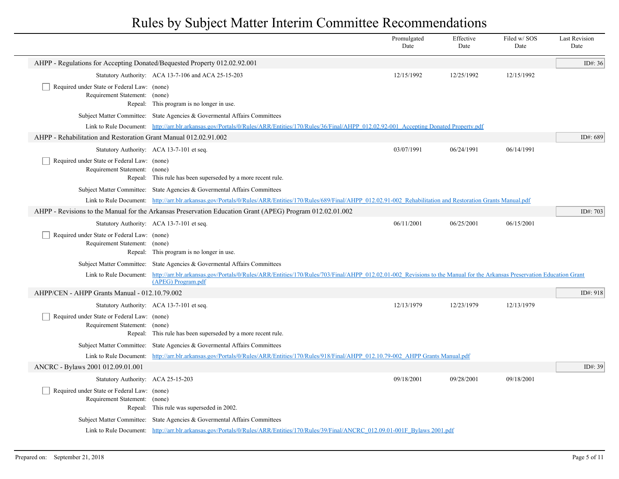|                                                                              |                                                                                                                                                                                             | Promulgated<br>Date | Effective<br>Date | Filed w/SOS<br>Date | <b>Last Revision</b><br>Date |
|------------------------------------------------------------------------------|---------------------------------------------------------------------------------------------------------------------------------------------------------------------------------------------|---------------------|-------------------|---------------------|------------------------------|
| AHPP - Regulations for Accepting Donated/Bequested Property 012.02.92.001    |                                                                                                                                                                                             |                     |                   |                     | ID#: $36$                    |
|                                                                              | Statutory Authority: ACA 13-7-106 and ACA 25-15-203                                                                                                                                         | 12/15/1992          | 12/25/1992        | 12/15/1992          |                              |
| Required under State or Federal Law: (none)<br>Requirement Statement: (none) | Repeal: This program is no longer in use.                                                                                                                                                   |                     |                   |                     |                              |
|                                                                              | Subject Matter Committee: State Agencies & Governental Affairs Committees                                                                                                                   |                     |                   |                     |                              |
|                                                                              | Link to Rule Document: http://arr.blr.arkansas.gov/Portals/0/Rules/ARR/Entities/170/Rules/36/Final/AHPP 012.02.92-001 Accepting Donated Property.pdf                                        |                     |                   |                     |                              |
| AHPP - Rehabilitation and Restoration Grant Manual 012.02.91.002             |                                                                                                                                                                                             |                     |                   |                     | ID#: 689                     |
|                                                                              | Statutory Authority: ACA 13-7-101 et seq.                                                                                                                                                   | 03/07/1991          | 06/24/1991        | 06/14/1991          |                              |
| Required under State or Federal Law: (none)<br>Requirement Statement: (none) | Repeal: This rule has been superseded by a more recent rule.                                                                                                                                |                     |                   |                     |                              |
|                                                                              | Subject Matter Committee: State Agencies & Governental Affairs Committees                                                                                                                   |                     |                   |                     |                              |
|                                                                              | Link to Rule Document: http://arr.blr.arkansas.gov/Portals/0/Rules/ARR/Entities/170/Rules/689/Final/AHPP 012.02.91-002 Rehabilitation and Restoration Grants Manual.pdf                     |                     |                   |                     |                              |
|                                                                              | AHPP - Revisions to the Manual for the Arkansas Preservation Education Grant (APEG) Program 012.02.01.002                                                                                   |                     |                   |                     | ID#: 703                     |
|                                                                              | Statutory Authority: ACA 13-7-101 et seq.                                                                                                                                                   | 06/11/2001          | 06/25/2001        | 06/15/2001          |                              |
| Required under State or Federal Law: (none)<br>Requirement Statement: (none) | Repeal: This program is no longer in use.                                                                                                                                                   |                     |                   |                     |                              |
|                                                                              | Subject Matter Committee: State Agencies & Governental Affairs Committees                                                                                                                   |                     |                   |                     |                              |
| Link to Rule Document:                                                       | http://arr.blr.arkansas.gov/Portals/0/Rules/ARR/Entities/170/Rules/703/Final/AHPP 012.02.01-002 Revisions to the Manual for the Arkansas Preservation Education Grant<br>(APEG) Program.pdf |                     |                   |                     |                              |
| AHPP/CEN - AHPP Grants Manual - 012.10.79.002                                |                                                                                                                                                                                             |                     |                   |                     | ID#: 918                     |
|                                                                              | Statutory Authority: ACA 13-7-101 et seq.                                                                                                                                                   | 12/13/1979          | 12/23/1979        | 12/13/1979          |                              |
| Required under State or Federal Law: (none)<br>Requirement Statement: (none) | Repeal: This rule has been superseded by a more recent rule.                                                                                                                                |                     |                   |                     |                              |
|                                                                              | Subject Matter Committee: State Agencies & Governental Affairs Committees                                                                                                                   |                     |                   |                     |                              |
|                                                                              | Link to Rule Document: http://arr.blr.arkansas.gov/Portals/0/Rules/ARR/Entities/170/Rules/918/Final/AHPP 012.10.79-002 AHPP Grants Manual.pdf                                               |                     |                   |                     |                              |
| ANCRC - Bylaws 2001 012.09.01.001                                            |                                                                                                                                                                                             |                     |                   |                     | ID#: 39                      |
| Statutory Authority: ACA 25-15-203                                           |                                                                                                                                                                                             | 09/18/2001          | 09/28/2001        | 09/18/2001          |                              |
| Required under State or Federal Law: (none)<br>Requirement Statement: (none) | Repeal: This rule was superseded in 2002.                                                                                                                                                   |                     |                   |                     |                              |
|                                                                              | Subject Matter Committee: State Agencies & Governental Affairs Committees                                                                                                                   |                     |                   |                     |                              |
|                                                                              | Link to Rule Document: http://arr.blr.arkansas.gov/Portals/0/Rules/ARR/Entities/170/Rules/39/Final/ANCRC 012.09.01-001F Bylaws 2001.pdf                                                     |                     |                   |                     |                              |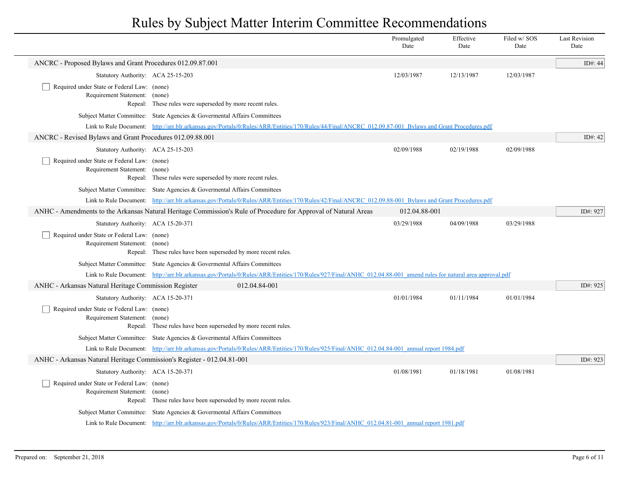|                                                                              |                                                                                                                                                                  | Promulgated<br>Date | Effective<br>Date | Filed w/ SOS<br>Date | <b>Last Revision</b><br>Date |
|------------------------------------------------------------------------------|------------------------------------------------------------------------------------------------------------------------------------------------------------------|---------------------|-------------------|----------------------|------------------------------|
| ANCRC - Proposed Bylaws and Grant Procedures 012.09.87.001                   |                                                                                                                                                                  |                     |                   |                      | ID#: 44                      |
| Statutory Authority: ACA 25-15-203                                           |                                                                                                                                                                  | 12/03/1987          | 12/13/1987        | 12/03/1987           |                              |
| Required under State or Federal Law: (none)<br>Requirement Statement: (none) | Repeal: These rules were superseded by more recent rules.                                                                                                        |                     |                   |                      |                              |
|                                                                              | Subject Matter Committee: State Agencies & Governental Affairs Committees                                                                                        |                     |                   |                      |                              |
|                                                                              | Link to Rule Document: http://arr.blr.arkansas.gov/Portals/0/Rules/ARR/Entities/170/Rules/44/Final/ANCRC 012.09.87-001 Bylaws and Grant Procedures.pdf           |                     |                   |                      |                              |
| ANCRC - Revised Bylaws and Grant Procedures 012.09.88.001                    |                                                                                                                                                                  |                     |                   |                      | ID#: $42$                    |
| Statutory Authority: ACA 25-15-203                                           |                                                                                                                                                                  | 02/09/1988          | 02/19/1988        | 02/09/1988           |                              |
| Required under State or Federal Law: (none)<br>Requirement Statement: (none) | Repeal: These rules were superseded by more recent rules.                                                                                                        |                     |                   |                      |                              |
|                                                                              | Subject Matter Committee: State Agencies & Governental Affairs Committees                                                                                        |                     |                   |                      |                              |
|                                                                              | Link to Rule Document: http://arr.blr.arkansas.gov/Portals/0/Rules/ARR/Entities/170/Rules/42/Final/ANCRC 012.09.88-001 Bylaws and Grant Procedures.pdf           |                     |                   |                      |                              |
|                                                                              | ANHC - Amendments to the Arkansas Natural Heritage Commission's Rule of Procedure for Approval of Natural Areas                                                  | 012.04.88-001       |                   |                      | ID#: 927                     |
| Statutory Authority: ACA 15-20-371                                           |                                                                                                                                                                  | 03/29/1988          | 04/09/1988        | 03/29/1988           |                              |
| Required under State or Federal Law: (none)<br>Requirement Statement: (none) | Repeal: These rules have been superseded by more recent rules.                                                                                                   |                     |                   |                      |                              |
|                                                                              | Subject Matter Committee: State Agencies & Governental Affairs Committees                                                                                        |                     |                   |                      |                              |
|                                                                              | Link to Rule Document: http://arr.blr.arkansas.gov/Portals/0/Rules/ARR/Entities/170/Rules/927/Final/ANHC 012.04.88-001 amend rules for natural area approval.pdf |                     |                   |                      |                              |
| ANHC - Arkansas Natural Heritage Commission Register                         | 012.04.84-001                                                                                                                                                    |                     |                   |                      | ID#: 925                     |
| Statutory Authority: ACA 15-20-371                                           |                                                                                                                                                                  | 01/01/1984          | 01/11/1984        | 01/01/1984           |                              |
| Required under State or Federal Law: (none)<br>Requirement Statement: (none) | Repeal: These rules have been superseded by more recent rules.                                                                                                   |                     |                   |                      |                              |
|                                                                              | Subject Matter Committee: State Agencies & Governental Affairs Committees                                                                                        |                     |                   |                      |                              |
|                                                                              | Link to Rule Document: http://arr.blr.arkansas.gov/Portals/0/Rules/ARR/Entities/170/Rules/925/Final/ANHC 012.04.84-001 annual report 1984.pdf                    |                     |                   |                      |                              |
| ANHC - Arkansas Natural Heritage Commission's Register - 012.04.81-001       |                                                                                                                                                                  |                     |                   |                      | ID#: 923                     |
| Statutory Authority: ACA 15-20-371                                           |                                                                                                                                                                  | 01/08/1981          | 01/18/1981        | 01/08/1981           |                              |
| Required under State or Federal Law: (none)<br>Requirement Statement: (none) | Repeal: These rules have been superseded by more recent rules.                                                                                                   |                     |                   |                      |                              |
|                                                                              | Subject Matter Committee: State Agencies & Governental Affairs Committees                                                                                        |                     |                   |                      |                              |
|                                                                              | Link to Rule Document: http://arr.blr.arkansas.gov/Portals/0/Rules/ARR/Entities/170/Rules/923/Final/ANHC 012.04.81-001 annual report 1981.pdf                    |                     |                   |                      |                              |
|                                                                              |                                                                                                                                                                  |                     |                   |                      |                              |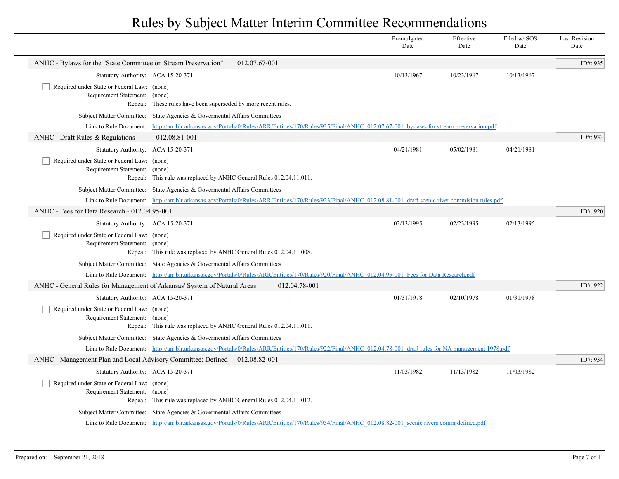|                                                                              |                                                                                                                                                                                                                  |               | Promulgated<br>Date | Effective<br>Date | Filed w/SOS<br>Date | <b>Last Revision</b><br>Date |
|------------------------------------------------------------------------------|------------------------------------------------------------------------------------------------------------------------------------------------------------------------------------------------------------------|---------------|---------------------|-------------------|---------------------|------------------------------|
| ANHC - Bylaws for the "State Committee on Stream Preservation"               | 012.07.67-001                                                                                                                                                                                                    |               |                     |                   |                     | ID#: 935                     |
| Statutory Authority: ACA 15-20-371                                           |                                                                                                                                                                                                                  |               | 10/13/1967          | 10/23/1967        | 10/13/1967          |                              |
| Required under State or Federal Law: (none)<br>Requirement Statement: (none) |                                                                                                                                                                                                                  |               |                     |                   |                     |                              |
|                                                                              | Repeal: These rules have been superseded by more recent rules.                                                                                                                                                   |               |                     |                   |                     |                              |
| Link to Rule Document:                                                       | Subject Matter Committee: State Agencies & Governental Affairs Committees<br>http://arr.blr.arkansas.gov/Portals/0/Rules/ARR/Entities/170/Rules/935/Final/ANHC 012.07.67-001 by-laws for stream preservation.pdf |               |                     |                   |                     |                              |
| ANHC - Draft Rules & Regulations                                             | 012.08.81-001                                                                                                                                                                                                    |               |                     |                   |                     | ID#: 933                     |
| Statutory Authority: ACA 15-20-371                                           |                                                                                                                                                                                                                  |               | 04/21/1981          | 05/02/1981        | 04/21/1981          |                              |
| Required under State or Federal Law: (none)                                  |                                                                                                                                                                                                                  |               |                     |                   |                     |                              |
| Requirement Statement: (none)                                                | Repeal: This rule was replaced by ANHC General Rules 012.04.11.011.                                                                                                                                              |               |                     |                   |                     |                              |
|                                                                              | Subject Matter Committee: State Agencies & Governental Affairs Committees                                                                                                                                        |               |                     |                   |                     |                              |
|                                                                              | Link to Rule Document: http://arr.blr.arkansas.gov/Portals/0/Rules/ARR/Entities/170/Rules/933/Final/ANHC 012.08.81-001 draft scenic river commision rules.pdf                                                    |               |                     |                   |                     |                              |
| ANHC - Fees for Data Research - 012.04.95-001                                |                                                                                                                                                                                                                  |               |                     |                   |                     | ID#: 920                     |
| Statutory Authority: ACA 15-20-371                                           |                                                                                                                                                                                                                  |               | 02/13/1995          | 02/23/1995        | 02/13/1995          |                              |
| Required under State or Federal Law: (none)<br>Requirement Statement: (none) | Repeal: This rule was replaced by ANHC General Rules 012.04.11.008.                                                                                                                                              |               |                     |                   |                     |                              |
|                                                                              | Subject Matter Committee: State Agencies & Governental Affairs Committees                                                                                                                                        |               |                     |                   |                     |                              |
|                                                                              | Link to Rule Document: http://arr.blr.arkansas.gov/Portals/0/Rules/ARR/Entities/170/Rules/920/Final/ANHC 012.04.95-001 Fees for Data Research.pdf                                                                |               |                     |                   |                     |                              |
| ANHC - General Rules for Management of Arkansas' System of Natural Areas     |                                                                                                                                                                                                                  | 012.04.78-001 |                     |                   |                     | ID#: 922                     |
| Statutory Authority: ACA 15-20-371                                           |                                                                                                                                                                                                                  |               | 01/31/1978          | 02/10/1978        | 01/31/1978          |                              |
| Required under State or Federal Law: (none)<br>Requirement Statement: (none) | Repeal: This rule was replaced by ANHC General Rules 012.04.11.011.                                                                                                                                              |               |                     |                   |                     |                              |
|                                                                              | Subject Matter Committee: State Agencies & Governental Affairs Committees                                                                                                                                        |               |                     |                   |                     |                              |
|                                                                              | Link to Rule Document: http://arr.blr.arkansas.gov/Portals/0/Rules/ARR/Entities/170/Rules/922/Final/ANHC 012.04.78-001 draft rules for NA management 1978.pdf                                                    |               |                     |                   |                     |                              |
| ANHC - Management Plan and Local Advisory Committee: Defined                 | 012.08.82-001                                                                                                                                                                                                    |               |                     |                   |                     | ID#: 934                     |
| Statutory Authority: ACA 15-20-371                                           |                                                                                                                                                                                                                  |               | 11/03/1982          | 11/13/1982        | 11/03/1982          |                              |
| Required under State or Federal Law: (none)<br>Requirement Statement:        | (none)<br>Repeal: This rule was replaced by ANHC General Rules 012.04.11.012.                                                                                                                                    |               |                     |                   |                     |                              |
|                                                                              | Subject Matter Committee: State Agencies & Governental Affairs Committees                                                                                                                                        |               |                     |                   |                     |                              |
|                                                                              | Link to Rule Document: http://arr.blr.arkansas.gov/Portals/0/Rules/ARR/Entities/170/Rules/934/Final/ANHC 012.08.82-001 scenic rivers comm defined.pdf                                                            |               |                     |                   |                     |                              |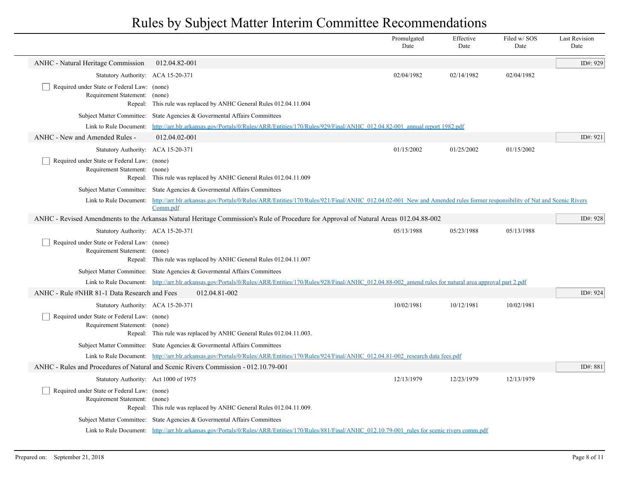|                                                                                  |                                                                                                                                                                                  | Promulgated<br>Date | Effective<br>Date | Filed w/ SOS<br>Date | <b>Last Revision</b><br>Date |
|----------------------------------------------------------------------------------|----------------------------------------------------------------------------------------------------------------------------------------------------------------------------------|---------------------|-------------------|----------------------|------------------------------|
| <b>ANHC</b> - Natural Heritage Commission                                        | 012.04.82-001                                                                                                                                                                    |                     |                   |                      | ID#: 929                     |
| Statutory Authority: ACA 15-20-371                                               |                                                                                                                                                                                  | 02/04/1982          | 02/14/1982        | 02/04/1982           |                              |
| Required under State or Federal Law: (none)<br>Requirement Statement:            | (none)<br>Repeal: This rule was replaced by ANHC General Rules 012.04.11.004                                                                                                     |                     |                   |                      |                              |
| <b>Subject Matter Committee:</b>                                                 | State Agencies & Governental Affairs Committees                                                                                                                                  |                     |                   |                      |                              |
| Link to Rule Document:                                                           | http://arr.blr.arkansas.gov/Portals/0/Rules/ARR/Entities/170/Rules/929/Final/ANHC 012.04.82-001 annual report 1982.pdf                                                           |                     |                   |                      |                              |
| ANHC - New and Amended Rules -                                                   | 012.04.02-001                                                                                                                                                                    |                     |                   |                      | ID#: $921$                   |
| Statutory Authority: ACA 15-20-371                                               |                                                                                                                                                                                  | 01/15/2002          | 01/25/2002        | 01/15/2002           |                              |
| Required under State or Federal Law: (none)<br>Requirement Statement:<br>Repeal: | (none)<br>This rule was replaced by ANHC General Rules 012.04.11.009                                                                                                             |                     |                   |                      |                              |
|                                                                                  | Subject Matter Committee: State Agencies & Governental Affairs Committees                                                                                                        |                     |                   |                      |                              |
| Link to Rule Document:                                                           | http://arr.blr.arkansas.gov/Portals/0/Rules/ARR/Entities/170/Rules/921/Final/ANHC 012.04.02-001 New and Amended rules former responsibility of Nat and Scenic Rivers<br>Comm.pdf |                     |                   |                      |                              |
|                                                                                  | ANHC - Revised Amendments to the Arkansas Natural Heritage Commission's Rule of Procedure for Approval of Natural Areas 012.04.88-002                                            |                     |                   |                      |                              |
| Statutory Authority: ACA 15-20-371                                               |                                                                                                                                                                                  | 05/13/1988          | 05/23/1988        | 05/13/1988           |                              |
| Required under State or Federal Law: (none)<br>Requirement Statement: (none)     | Repeal: This rule was replaced by ANHC General Rules 012.04.11.007                                                                                                               |                     |                   |                      |                              |
|                                                                                  | Subject Matter Committee: State Agencies & Governental Affairs Committees                                                                                                        |                     |                   |                      |                              |
|                                                                                  | Link to Rule Document: http://arr.blr.arkansas.gov/Portals/0/Rules/ARR/Entities/170/Rules/928/Final/ANHC 012.04.88-002 amend rules for natural area approval part 2.pdf          |                     |                   |                      |                              |
| ANHC - Rule #NHR 81-1 Data Research and Fees                                     | 012.04.81-002                                                                                                                                                                    |                     |                   |                      | ID#: 924                     |
| Statutory Authority: ACA 15-20-371                                               |                                                                                                                                                                                  | 10/02/1981          | 10/12/1981        | 10/02/1981           |                              |
| Required under State or Federal Law: (none)<br>Requirement Statement: (none)     | Repeal: This rule was replaced by ANHC General Rules 012.04.11.003.                                                                                                              |                     |                   |                      |                              |
|                                                                                  | Subject Matter Committee: State Agencies & Governental Affairs Committees                                                                                                        |                     |                   |                      |                              |
|                                                                                  | Link to Rule Document: http://arr.blr.arkansas.gov/Portals/0/Rules/ARR/Entities/170/Rules/924/Final/ANHC_012.04.81-002_research data fees.pdf                                    |                     |                   |                      |                              |
|                                                                                  | ANHC - Rules and Procedures of Natural and Scenic Rivers Commission - 012.10.79-001                                                                                              |                     |                   |                      | ID#: 881                     |
| Statutory Authority: Act 1000 of 1975                                            |                                                                                                                                                                                  | 12/13/1979          | 12/23/1979        | 12/13/1979           |                              |
| Required under State or Federal Law: (none)<br>Requirement Statement: (none)     | Repeal: This rule was replaced by ANHC General Rules 012.04.11.009.                                                                                                              |                     |                   |                      |                              |
|                                                                                  | Subject Matter Committee: State Agencies & Governental Affairs Committees                                                                                                        |                     |                   |                      |                              |
|                                                                                  | Link to Rule Document: http://arr.blr.arkansas.gov/Portals/0/Rules/ARR/Entities/170/Rules/881/Final/ANHC 012.10.79-001 rules for scenic rivers comm.pdf                          |                     |                   |                      |                              |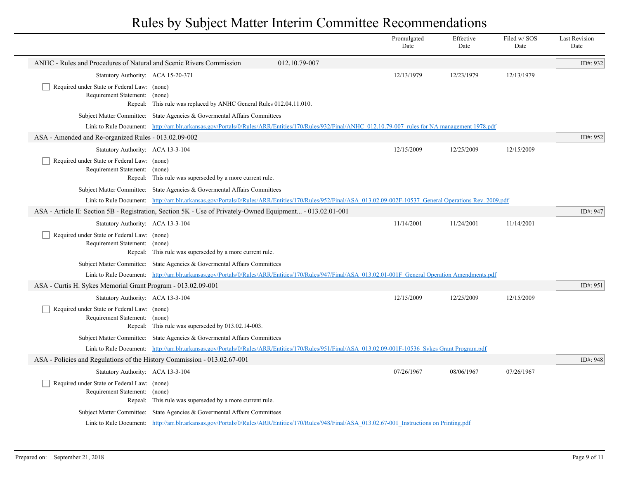|                                                                              |                                                                                                                                                               |               | Promulgated<br>Date | Effective<br>Date | Filed w/SOS<br>Date | <b>Last Revision</b><br>Date |
|------------------------------------------------------------------------------|---------------------------------------------------------------------------------------------------------------------------------------------------------------|---------------|---------------------|-------------------|---------------------|------------------------------|
| ANHC - Rules and Procedures of Natural and Scenic Rivers Commission          |                                                                                                                                                               | 012.10.79-007 |                     |                   |                     | ID#: 932                     |
| Statutory Authority: ACA 15-20-371                                           |                                                                                                                                                               |               | 12/13/1979          | 12/23/1979        | 12/13/1979          |                              |
| Required under State or Federal Law: (none)<br>Requirement Statement: (none) | Repeal: This rule was replaced by ANHC General Rules 012.04.11.010.                                                                                           |               |                     |                   |                     |                              |
|                                                                              | Subject Matter Committee: State Agencies & Governental Affairs Committees                                                                                     |               |                     |                   |                     |                              |
|                                                                              | Link to Rule Document: http://arr.blr.arkansas.gov/Portals/0/Rules/ARR/Entities/170/Rules/932/Final/ANHC 012.10.79-007 rules for NA management 1978.pdf       |               |                     |                   |                     |                              |
| ASA - Amended and Re-organized Rules - 013.02.09-002                         |                                                                                                                                                               |               |                     |                   |                     | ID#: 952                     |
| Statutory Authority: ACA 13-3-104                                            |                                                                                                                                                               |               | 12/15/2009          | 12/25/2009        | 12/15/2009          |                              |
| Required under State or Federal Law: (none)<br>Requirement Statement: (none) | Repeal: This rule was superseded by a more current rule.                                                                                                      |               |                     |                   |                     |                              |
|                                                                              | Subject Matter Committee: State Agencies & Governental Affairs Committees                                                                                     |               |                     |                   |                     |                              |
|                                                                              | Link to Rule Document: http://arr.blr.arkansas.gov/Portals/0/Rules/ARR/Entities/170/Rules/952/Final/ASA 013.02.09-002F-10537 General Operations Rev. 2009.pdf |               |                     |                   |                     |                              |
|                                                                              | ASA - Article II: Section 5B - Registration, Section 5K - Use of Privately-Owned Equipment - 013.02.01-001                                                    |               |                     |                   |                     | ID#: 947                     |
| Statutory Authority: ACA 13-3-104                                            |                                                                                                                                                               |               | 11/14/2001          | 11/24/2001        | 11/14/2001          |                              |
| Required under State or Federal Law: (none)<br>Requirement Statement: (none) | Repeal: This rule was superseded by a more current rule.                                                                                                      |               |                     |                   |                     |                              |
|                                                                              | Subject Matter Committee: State Agencies & Governental Affairs Committees                                                                                     |               |                     |                   |                     |                              |
|                                                                              | Link to Rule Document: http://arr.blr.arkansas.gov/Portals/0/Rules/ARR/Entities/170/Rules/947/Final/ASA 013.02.01-001F General Operation Amendments.pdf       |               |                     |                   |                     |                              |
| ASA - Curtis H. Sykes Memorial Grant Program - 013.02.09-001                 |                                                                                                                                                               |               |                     |                   |                     | ID#: 951                     |
| Statutory Authority: ACA 13-3-104                                            |                                                                                                                                                               |               | 12/15/2009          | 12/25/2009        | 12/15/2009          |                              |
| Required under State or Federal Law: (none)<br>Requirement Statement: (none) | Repeal: This rule was superseded by 013.02.14-003.                                                                                                            |               |                     |                   |                     |                              |
|                                                                              | Subject Matter Committee: State Agencies & Governental Affairs Committees                                                                                     |               |                     |                   |                     |                              |
|                                                                              | Link to Rule Document: http://arr.blr.arkansas.gov/Portals/0/Rules/ARR/Entities/170/Rules/951/Final/ASA 013.02.09-001F-10536 Sykes Grant Program.pdf          |               |                     |                   |                     |                              |
| ASA - Policies and Regulations of the History Commission - 013.02.67-001     |                                                                                                                                                               |               |                     |                   |                     | ID#: 948                     |
| Statutory Authority: ACA 13-3-104                                            |                                                                                                                                                               |               | 07/26/1967          | 08/06/1967        | 07/26/1967          |                              |
| Required under State or Federal Law: (none)<br>Requirement Statement: (none) | Repeal: This rule was superseded by a more current rule.                                                                                                      |               |                     |                   |                     |                              |
|                                                                              | Subject Matter Committee: State Agencies & Governental Affairs Committees                                                                                     |               |                     |                   |                     |                              |
|                                                                              | Link to Rule Document: http://arr.blr.arkansas.gov/Portals/0/Rules/ARR/Entities/170/Rules/948/Final/ASA 013.02.67-001 Instructions on Printing.pdf            |               |                     |                   |                     |                              |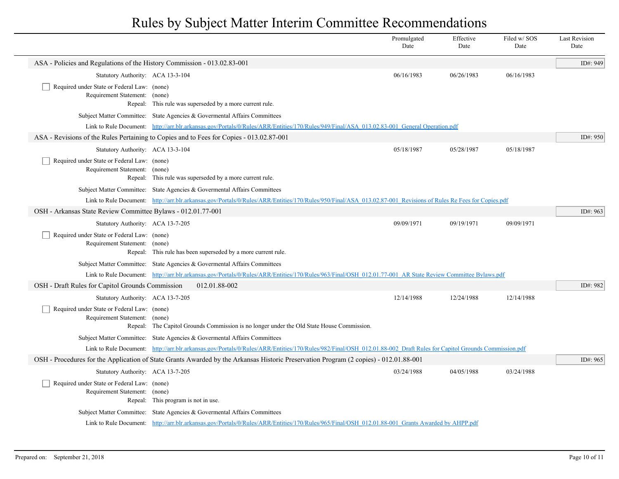|                                                                              |                                                                                                                                                                      | Promulgated<br>Date | Effective<br>Date | Filed w/SOS<br>Date | <b>Last Revision</b><br>Date |
|------------------------------------------------------------------------------|----------------------------------------------------------------------------------------------------------------------------------------------------------------------|---------------------|-------------------|---------------------|------------------------------|
| ASA - Policies and Regulations of the History Commission - 013.02.83-001     |                                                                                                                                                                      |                     |                   |                     | ID#: 949                     |
| Statutory Authority: ACA 13-3-104                                            |                                                                                                                                                                      | 06/16/1983          | 06/26/1983        | 06/16/1983          |                              |
| Required under State or Federal Law: (none)<br>Requirement Statement: (none) | Repeal: This rule was superseded by a more current rule.                                                                                                             |                     |                   |                     |                              |
|                                                                              | Subject Matter Committee: State Agencies & Governental Affairs Committees                                                                                            |                     |                   |                     |                              |
|                                                                              | Link to Rule Document: http://arr.blr.arkansas.gov/Portals/0/Rules/ARR/Entities/170/Rules/949/Final/ASA 013.02.83-001 General Operation.pdf                          |                     |                   |                     |                              |
|                                                                              | ASA - Revisions of the Rules Pertaining to Copies and to Fees for Copies - 013.02.87-001                                                                             |                     |                   |                     | ID#: 950                     |
| Statutory Authority: ACA 13-3-104                                            |                                                                                                                                                                      | 05/18/1987          | 05/28/1987        | 05/18/1987          |                              |
| Required under State or Federal Law: (none)<br>Requirement Statement: (none) | Repeal: This rule was superseded by a more current rule.                                                                                                             |                     |                   |                     |                              |
|                                                                              | Subject Matter Committee: State Agencies & Govermental Affairs Committees                                                                                            |                     |                   |                     |                              |
|                                                                              | Link to Rule Document: http://arr.blr.arkansas.gov/Portals/0/Rules/ARR/Entities/170/Rules/950/Final/ASA 013.02.87-001 Revisions of Rules Re Fees for Copies.pdf      |                     |                   |                     |                              |
| OSH - Arkansas State Review Committee Bylaws - 012.01.77-001                 |                                                                                                                                                                      |                     |                   |                     | ID#: 963                     |
| Statutory Authority: ACA 13-7-205                                            |                                                                                                                                                                      | 09/09/1971          | 09/19/1971        | 09/09/1971          |                              |
| Required under State or Federal Law: (none)<br>Requirement Statement: (none) | Repeal: This rule has been superseded by a more current rule.                                                                                                        |                     |                   |                     |                              |
|                                                                              | Subject Matter Committee: State Agencies & Governental Affairs Committees                                                                                            |                     |                   |                     |                              |
|                                                                              | Link to Rule Document: http://arr.blr.arkansas.gov/Portals/0/Rules/ARR/Entities/170/Rules/963/Final/OSH 012.01.77-001 AR State Review Committee Bylaws.pdf           |                     |                   |                     |                              |
| OSH - Draft Rules for Capitol Grounds Commission                             | 012.01.88-002                                                                                                                                                        |                     |                   |                     | ID#: 982                     |
| Statutory Authority: ACA 13-7-205                                            |                                                                                                                                                                      | 12/14/1988          | 12/24/1988        | 12/14/1988          |                              |
| Required under State or Federal Law: (none)<br>Requirement Statement:        | (none)<br>Repeal: The Capitol Grounds Commission is no longer under the Old State House Commission.                                                                  |                     |                   |                     |                              |
|                                                                              | Subject Matter Committee: State Agencies & Governental Affairs Committees                                                                                            |                     |                   |                     |                              |
|                                                                              | Link to Rule Document: http://arr.blr.arkansas.gov/Portals/0/Rules/ARR/Entities/170/Rules/982/Final/OSH 012.01.88-002 Draft Rules for Capitol Grounds Commission.pdf |                     |                   |                     |                              |
|                                                                              | OSH - Procedures for the Application of State Grants Awarded by the Arkansas Historic Preservation Program (2 copies) - 012.01.88-001                                |                     |                   |                     | ID#: 965                     |
| Statutory Authority: ACA 13-7-205                                            |                                                                                                                                                                      | 03/24/1988          | 04/05/1988        | 03/24/1988          |                              |
| Required under State or Federal Law: (none)<br>Requirement Statement:        | (none)<br>Repeal: This program is not in use.                                                                                                                        |                     |                   |                     |                              |
|                                                                              | Subject Matter Committee: State Agencies & Governental Affairs Committees                                                                                            |                     |                   |                     |                              |
|                                                                              | Link to Rule Document: http://arr.blr.arkansas.gov/Portals/0/Rules/ARR/Entities/170/Rules/965/Final/OSH 012.01.88-001 Grants Awarded by AHPP.pdf                     |                     |                   |                     |                              |